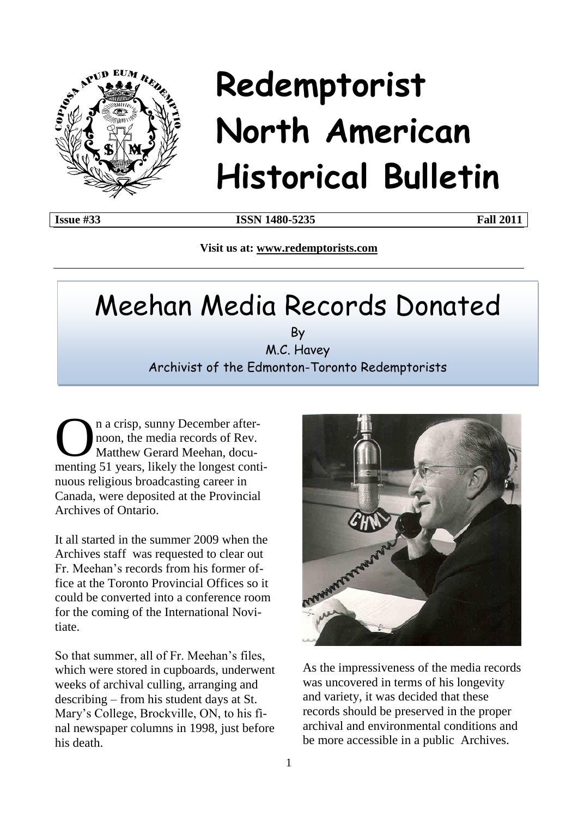

## **Redemptorist North American Historical Bulletin**

**Issue #33 ISSN 1480-5235 Fall 2011**

**Visit us at: [www.redemptorists.com](http://www.redemptorists.com/)**

## Meehan Media Records Donated

By M.C. Havey Archivist of the Edmonton-Toronto Redemptorists

n a crisp, sunny December afternoon, the media records of Rev. Matthew Gerard Meehan, docun a crisp, sunny December after-<br>noon, the media records of Rev.<br>Matthew Gerard Meehan, docu-<br>menting 51 years, likely the longest continuous religious broadcasting career in Canada, were deposited at the Provincial Archives of Ontario.

It all started in the summer 2009 when the Archives staff was requested to clear out Fr. Meehan's records from his former office at the Toronto Provincial Offices so it could be converted into a conference room for the coming of the International Novitiate.

So that summer, all of Fr. Meehan's files, which were stored in cupboards, underwent weeks of archival culling, arranging and describing – from his student days at St. Mary's College, Brockville, ON, to his final newspaper columns in 1998, just before his death.



As the impressiveness of the media records was uncovered in terms of his longevity and variety, it was decided that these records should be preserved in the proper archival and environmental conditions and be more accessible in a public Archives.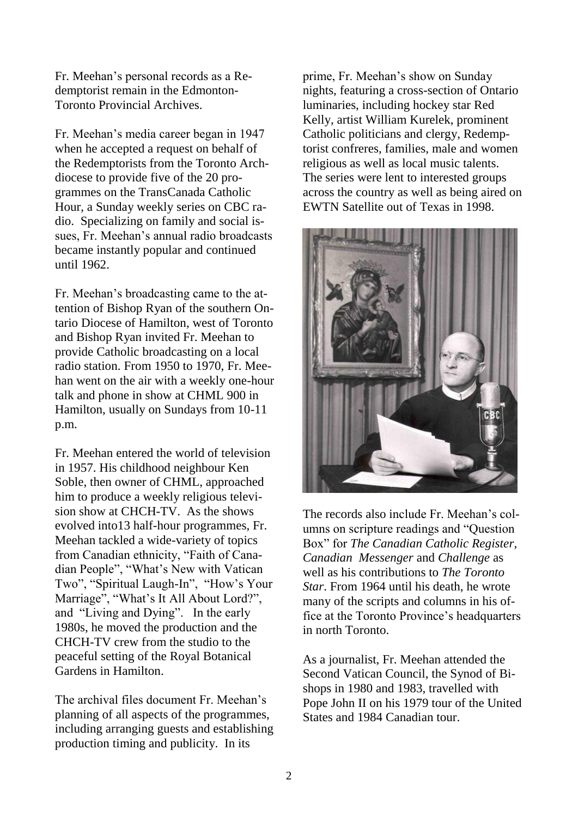Fr. Meehan's personal records as a Redemptorist remain in the Edmonton-Toronto Provincial Archives.

Fr. Meehan's media career began in 1947 when he accepted a request on behalf of the Redemptorists from the Toronto Archdiocese to provide five of the 20 programmes on the TransCanada Catholic Hour, a Sunday weekly series on CBC radio. Specializing on family and social issues, Fr. Meehan's annual radio broadcasts became instantly popular and continued until 1962.

Fr. Meehan's broadcasting came to the attention of Bishop Ryan of the southern Ontario Diocese of Hamilton, west of Toronto and Bishop Ryan invited Fr. Meehan to provide Catholic broadcasting on a local radio station. From 1950 to 1970, Fr. Meehan went on the air with a weekly one-hour talk and phone in show at CHML 900 in Hamilton, usually on Sundays from 10-11 p.m.

Fr. Meehan entered the world of television in 1957. His childhood neighbour Ken Soble, then owner of CHML, approached him to produce a weekly religious television show at CHCH-TV. As the shows evolved into13 half-hour programmes, Fr. Meehan tackled a wide-variety of topics from Canadian ethnicity, "Faith of Canadian People", "What's New with Vatican Two", "Spiritual Laugh-In", "How's Your Marriage", "What's It All About Lord?", and "Living and Dying". In the early 1980s, he moved the production and the CHCH-TV crew from the studio to the peaceful setting of the Royal Botanical Gardens in Hamilton.

The archival files document Fr. Meehan's planning of all aspects of the programmes, including arranging guests and establishing production timing and publicity. In its

prime, Fr. Meehan's show on Sunday nights, featuring a cross-section of Ontario luminaries, including hockey star Red Kelly, artist William Kurelek, prominent Catholic politicians and clergy, Redemptorist confreres, families, male and women religious as well as local music talents. The series were lent to interested groups across the country as well as being aired on EWTN Satellite out of Texas in 1998.



The records also include Fr. Meehan's columns on scripture readings and "Question Box" for *The Canadian Catholic Register, Canadian Messenger* and *Challenge* as well as his contributions to *The Toronto Star*. From 1964 until his death, he wrote many of the scripts and columns in his office at the Toronto Province's headquarters in north Toronto.

As a journalist, Fr. Meehan attended the Second Vatican Council, the Synod of Bishops in 1980 and 1983, travelled with Pope John II on his 1979 tour of the United States and 1984 Canadian tour.